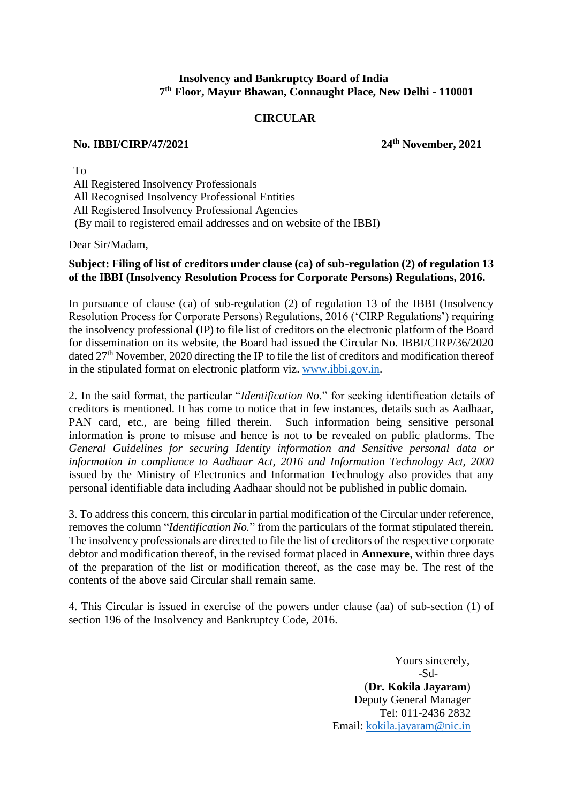# **Insolvency and Bankruptcy Board of India 7 th Floor, Mayur Bhawan, Connaught Place, New Delhi - 110001**

# **CIRCULAR**

## **No. IBBI/CIRP/47/2021 24th November, 2021**

To All Registered Insolvency Professionals All Recognised Insolvency Professional Entities All Registered Insolvency Professional Agencies (By mail to registered email addresses and on website of the IBBI)

Dear Sir/Madam,

# **Subject: Filing of list of creditors under clause (ca) of sub-regulation (2) of regulation 13 of the IBBI (Insolvency Resolution Process for Corporate Persons) Regulations, 2016.**

In pursuance of clause (ca) of sub-regulation (2) of regulation 13 of the IBBI (Insolvency Resolution Process for Corporate Persons) Regulations, 2016 ('CIRP Regulations') requiring the insolvency professional (IP) to file list of creditors on the electronic platform of the Board for dissemination on its website, the Board had issued the Circular No. IBBI/CIRP/36/2020 dated 27<sup>th</sup> November, 2020 directing the IP to file the list of creditors and modification thereof in the stipulated format on electronic platform viz. [www.ibbi.gov.in.](http://www.ibbi.gov.in/)

2. In the said format, the particular "*Identification No.*" for seeking identification details of creditors is mentioned. It has come to notice that in few instances, details such as Aadhaar, PAN card, etc., are being filled therein. Such information being sensitive personal information is prone to misuse and hence is not to be revealed on public platforms. The *General Guidelines for securing Identity information and Sensitive personal data or information in compliance to Aadhaar Act, 2016 and Information Technology Act, 2000* issued by the Ministry of Electronics and Information Technology also provides that any personal identifiable data including Aadhaar should not be published in public domain.

3. To address this concern, this circular in partial modification of the Circular under reference, removes the column "*Identification No.*" from the particulars of the format stipulated therein. The insolvency professionals are directed to file the list of creditors of the respective corporate debtor and modification thereof, in the revised format placed in **Annexure**, within three days of the preparation of the list or modification thereof, as the case may be. The rest of the contents of the above said Circular shall remain same.

4. This Circular is issued in exercise of the powers under clause (aa) of sub-section (1) of section 196 of the Insolvency and Bankruptcy Code, 2016.

> Yours sincerely, -Sd- (**Dr. Kokila Jayaram**) Deputy General Manager Tel: 011-2436 2832 Email: [kokila.jayaram@nic.in](mailto:kokila.jayaram@nic.in)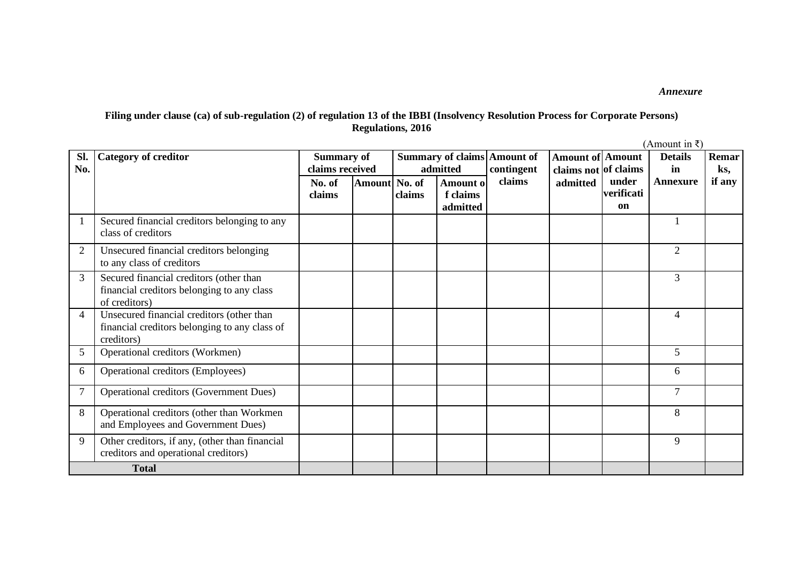*Annexure*

# **Filing under clause (ca) of sub-regulation (2) of regulation 13 of the IBBI (Insolvency Resolution Process for Corporate Persons) Regulations, 2016**

(Amount in ₹)

| SI.            | <b>Category of creditor</b>                                                                              | <b>Summary of</b> |               |        |          | <b>Summary of claims Amount of</b> | <b>Amount of Amount</b> |            | <b>Details</b>  | Remar  |
|----------------|----------------------------------------------------------------------------------------------------------|-------------------|---------------|--------|----------|------------------------------------|-------------------------|------------|-----------------|--------|
| No.            |                                                                                                          | claims received   |               |        | admitted | contingent                         | claims not of claims    |            | in              | ks,    |
|                |                                                                                                          | No. of            | Amount No. of |        | Amount o | claims                             | admitted                | under      | <b>Annexure</b> | if any |
|                |                                                                                                          | claims            |               | claims | f claims |                                    |                         | verificati |                 |        |
|                |                                                                                                          |                   |               |        | admitted |                                    |                         | on         |                 |        |
|                | Secured financial creditors belonging to any<br>class of creditors                                       |                   |               |        |          |                                    |                         |            |                 |        |
| 2              | Unsecured financial creditors belonging<br>to any class of creditors                                     |                   |               |        |          |                                    |                         |            | $\mathfrak{2}$  |        |
| 3              | Secured financial creditors (other than<br>financial creditors belonging to any class<br>of creditors)   |                   |               |        |          |                                    |                         |            | 3               |        |
| 4              | Unsecured financial creditors (other than<br>financial creditors belonging to any class of<br>creditors) |                   |               |        |          |                                    |                         |            | $\overline{4}$  |        |
| 5              | Operational creditors (Workmen)                                                                          |                   |               |        |          |                                    |                         |            | 5               |        |
| 6              | Operational creditors (Employees)                                                                        |                   |               |        |          |                                    |                         |            | 6               |        |
| $\overline{7}$ | Operational creditors (Government Dues)                                                                  |                   |               |        |          |                                    |                         |            | $\overline{7}$  |        |
| 8              | Operational creditors (other than Workmen<br>and Employees and Government Dues)                          |                   |               |        |          |                                    |                         |            | 8               |        |
| 9              | Other creditors, if any, (other than financial<br>creditors and operational creditors)                   |                   |               |        |          |                                    |                         |            | 9               |        |
|                | <b>Total</b>                                                                                             |                   |               |        |          |                                    |                         |            |                 |        |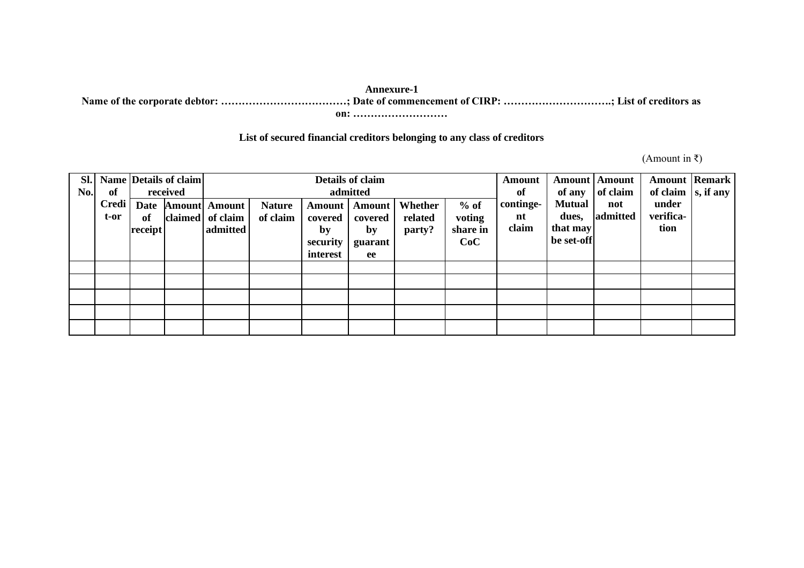### **Annexure-1**

**Name of the corporate debtor: ………………………………; Date of commencement of CIRP: ………………………….; List of creditors as** 

**on: ………………………**

# **List of secured financial creditors belonging to any class of creditors**

(Amount in ₹)

| SI.<br>No. | of                      |                              | Name Details of claim<br>received | Details of claim<br><b>Amount</b><br>admitted        |                           |                      |                                                |                              |                              |                          | of any                             | <b>Amount</b>   <b>Amount</b><br>of claim | of claim $\vert s,$ if any | <b>Amount Remark</b> |
|------------|-------------------------|------------------------------|-----------------------------------|------------------------------------------------------|---------------------------|----------------------|------------------------------------------------|------------------------------|------------------------------|--------------------------|------------------------------------|-------------------------------------------|----------------------------|----------------------|
|            | <b>Credi</b><br>$t$ -or | <b>Date</b><br>of<br>receipt |                                   | <b>Amount</b> Amount<br>claimed of claim<br>admitted | <b>Nature</b><br>of claim | covered<br>by        | <b>Amount</b>   <b>Amount</b><br>covered<br>by | Whether<br>related<br>party? | $%$ of<br>voting<br>share in | continge-<br>nt<br>claim | <b>Mutual</b><br>dues,<br>that may | not<br>admitted                           | under<br>verifica-<br>tion |                      |
|            |                         |                              |                                   |                                                      |                           | security<br>interest | guarant<br>ee                                  |                              | CoC                          |                          | be set-off                         |                                           |                            |                      |
|            |                         |                              |                                   |                                                      |                           |                      |                                                |                              |                              |                          |                                    |                                           |                            |                      |
|            |                         |                              |                                   |                                                      |                           |                      |                                                |                              |                              |                          |                                    |                                           |                            |                      |
|            |                         |                              |                                   |                                                      |                           |                      |                                                |                              |                              |                          |                                    |                                           |                            |                      |
|            |                         |                              |                                   |                                                      |                           |                      |                                                |                              |                              |                          |                                    |                                           |                            |                      |
|            |                         |                              |                                   |                                                      |                           |                      |                                                |                              |                              |                          |                                    |                                           |                            |                      |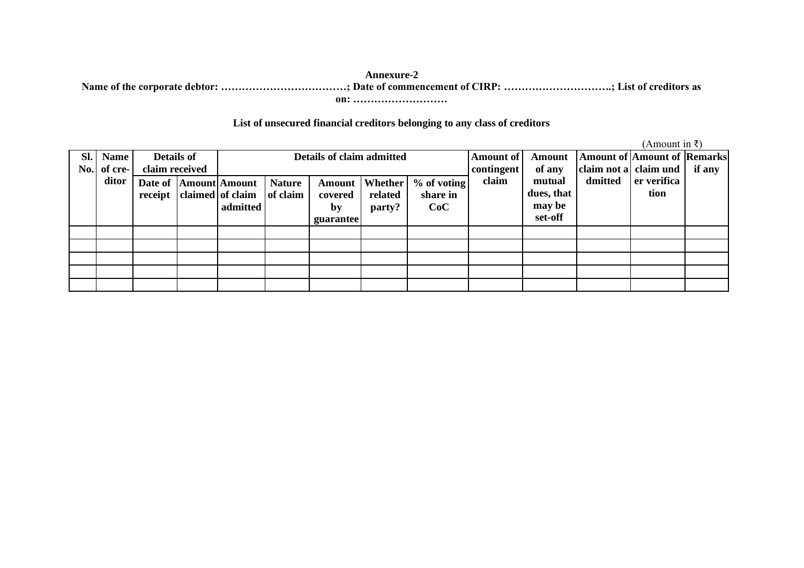### **Annexure-2 Name of the corporate debtor: ………………………………; Date of commencement of CIRP: ………………………….; List of creditors as on: ………………………**

## **List of unsecured financial creditors belonging to any class of creditors**

(Amount in  $\bar{x}$ )

|     |             |                   |  |                          |               |                           |         |               |                         |            |                                    | $\mu$ mnount in $\tau$ |        |
|-----|-------------|-------------------|--|--------------------------|---------------|---------------------------|---------|---------------|-------------------------|------------|------------------------------------|------------------------|--------|
| SI. | <b>Name</b> | <b>Details of</b> |  |                          |               | Details of claim admitted |         |               | Amount of               | Amount     | <b>Amount of Amount of Remarks</b> |                        |        |
| No. | of cre-     | claim received    |  |                          |               |                           |         |               | contingent <sup>1</sup> | of any     | claim not a claim und              |                        | if any |
|     | ditor       |                   |  | Date of  Amount Amount   | <b>Nature</b> | Amount                    | Whether | $%$ of voting | claim                   | mutual     | dmitted                            | er verifica            |        |
|     |             |                   |  | receipt claimed of claim | of claim      | covered                   | related | share in      |                         | dues, that |                                    | tion                   |        |
|     |             |                   |  | admitted                 |               | by                        | party?  | CoC           |                         | may be     |                                    |                        |        |
|     |             |                   |  |                          |               | <b>guarantee</b>          |         |               |                         | set-off    |                                    |                        |        |
|     |             |                   |  |                          |               |                           |         |               |                         |            |                                    |                        |        |
|     |             |                   |  |                          |               |                           |         |               |                         |            |                                    |                        |        |
|     |             |                   |  |                          |               |                           |         |               |                         |            |                                    |                        |        |
|     |             |                   |  |                          |               |                           |         |               |                         |            |                                    |                        |        |
|     |             |                   |  |                          |               |                           |         |               |                         |            |                                    |                        |        |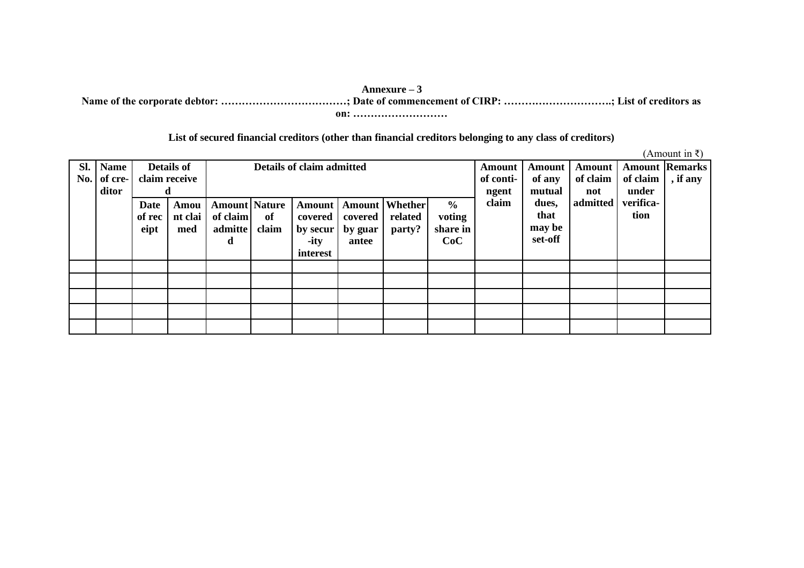#### **Annexure – 3**

**Name of the corporate debtor: ………………………………; Date of commencement of CIRP: ………………………….; List of creditors as on: ………………………**

## **List of secured financial creditors (other than financial creditors belonging to any class of creditors)**

(Amount in ₹)

| Sl. | <b>Name</b> |        | <b>Details of</b> |                      |       | Details of claim admitted |         |                         |               | Amount    | Amount  | <b>Amount</b> |           | <b>Amount Remarks</b> |
|-----|-------------|--------|-------------------|----------------------|-------|---------------------------|---------|-------------------------|---------------|-----------|---------|---------------|-----------|-----------------------|
| No. | of cre-     |        | claim receive     |                      |       |                           |         |                         |               | of conti- | of any  | of claim      | of claim  | , if any              |
|     | ditor       |        |                   |                      |       |                           |         |                         |               | ngent     | mutual  | not           | under     |                       |
|     |             | Date   | Amou              | <b>Amount</b> Nature |       | Amount                    |         | <b>Amount   Whether</b> | $\frac{0}{0}$ | claim     | dues,   | admitted      | verifica- |                       |
|     |             | of rec | nt clai           | of claim             | of    | covered                   | covered | related                 | voting        |           | that    |               | tion      |                       |
|     |             | eipt   | med               | admitte              | claim | by secur                  | by guar | party?                  | share in      |           | may be  |               |           |                       |
|     |             |        |                   | d                    |       | $-ity$                    | antee   |                         | CoC           |           | set-off |               |           |                       |
|     |             |        |                   |                      |       | interest                  |         |                         |               |           |         |               |           |                       |
|     |             |        |                   |                      |       |                           |         |                         |               |           |         |               |           |                       |
|     |             |        |                   |                      |       |                           |         |                         |               |           |         |               |           |                       |
|     |             |        |                   |                      |       |                           |         |                         |               |           |         |               |           |                       |
|     |             |        |                   |                      |       |                           |         |                         |               |           |         |               |           |                       |
|     |             |        |                   |                      |       |                           |         |                         |               |           |         |               |           |                       |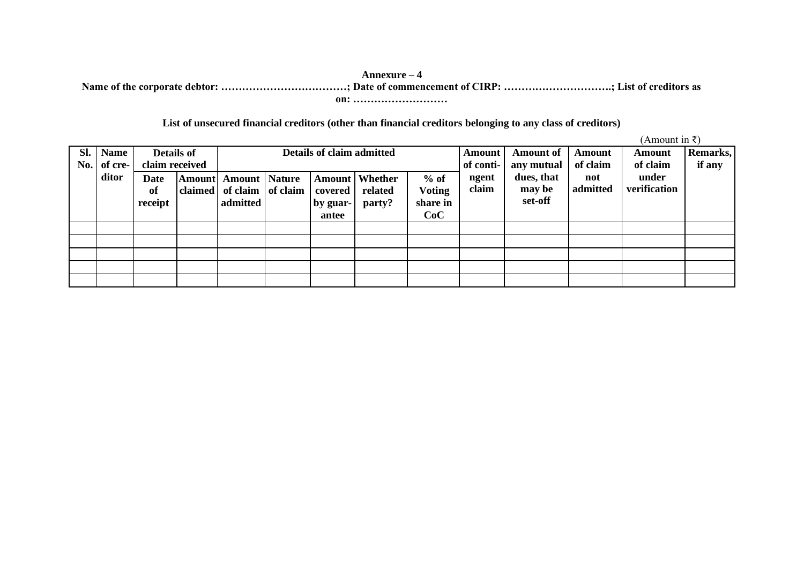#### **Annexure – 4 Name of the corporate debtor: ………………………………; Date of commencement of CIRP: ………………………….; List of creditors as on: ………………………**

## **List of unsecured financial creditors (other than financial creditors belonging to any class of creditors)**

 $(\Delta$ mount in  $\bar{z}$ )

|            |                        |                                     |                           |                                                          |  |                   |                                    |                         |                     |                                |                    | $\mu$ mnount in $\tau$ |                    |
|------------|------------------------|-------------------------------------|---------------------------|----------------------------------------------------------|--|-------------------|------------------------------------|-------------------------|---------------------|--------------------------------|--------------------|------------------------|--------------------|
| SI.<br>No. | <b>Name</b><br>of cre- | <b>Details of</b><br>claim received | Details of claim admitted |                                                          |  |                   |                                    |                         | Amount<br>of conti- | <b>Amount of</b><br>any mutual | Amount<br>of claim | Amount<br>of claim     | Remarks,<br>if any |
|            | ditor                  | <b>Date</b><br>of                   |                           | <b>Amount</b> Amount Nature<br>claimed of claim of claim |  | covered           | <b>Amount</b>   Whether<br>related | $%$ of<br><b>Voting</b> | ngent<br>claim      | dues, that<br>may be           | not<br>admitted    | under<br>verification  |                    |
|            |                        | receipt                             |                           | admitted                                                 |  | by guar-<br>antee | party?                             | share in<br>CoC         |                     | set-off                        |                    |                        |                    |
|            |                        |                                     |                           |                                                          |  |                   |                                    |                         |                     |                                |                    |                        |                    |
|            |                        |                                     |                           |                                                          |  |                   |                                    |                         |                     |                                |                    |                        |                    |
|            |                        |                                     |                           |                                                          |  |                   |                                    |                         |                     |                                |                    |                        |                    |
|            |                        |                                     |                           |                                                          |  |                   |                                    |                         |                     |                                |                    |                        |                    |
|            |                        |                                     |                           |                                                          |  |                   |                                    |                         |                     |                                |                    |                        |                    |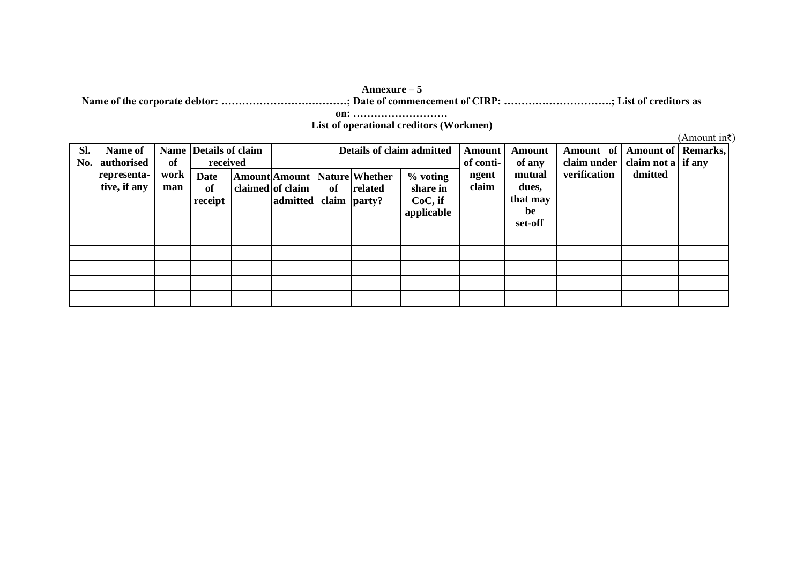#### **Annexure – 5**

**Name of the corporate debtor: ………………………………; Date of commencement of CIRP: ………………………….; List of creditors as** 

**on: ………………………**

**List of operational creditors (Workmen)**

(Amount in₹)

| SI.<br>No. | Name of<br>authorised       | of          | Name Details of claim<br>received | Details of claim admitted                 |    |                                                |                                               | Amount<br>of conti- | <b>Amount</b><br>of any           | Amount of<br>claim under | <b>Amount of   Remarks,</b><br>claim not a if any |  |
|------------|-----------------------------|-------------|-----------------------------------|-------------------------------------------|----|------------------------------------------------|-----------------------------------------------|---------------------|-----------------------------------|--------------------------|---------------------------------------------------|--|
|            | representa-<br>tive, if any | work<br>man | <b>Date</b><br>of<br>receipt      | claimed of claim<br>admitted claim party? | of | <b>Amount Amount Nature Whether</b><br>related | % voting<br>share in<br>CoC, if<br>applicable | ngent<br>claim      | mutual<br>dues,<br>that may<br>be | verification             | dmitted                                           |  |
|            |                             |             |                                   |                                           |    |                                                |                                               |                     | set-off                           |                          |                                                   |  |
|            |                             |             |                                   |                                           |    |                                                |                                               |                     |                                   |                          |                                                   |  |
|            |                             |             |                                   |                                           |    |                                                |                                               |                     |                                   |                          |                                                   |  |
|            |                             |             |                                   |                                           |    |                                                |                                               |                     |                                   |                          |                                                   |  |
|            |                             |             |                                   |                                           |    |                                                |                                               |                     |                                   |                          |                                                   |  |
|            |                             |             |                                   |                                           |    |                                                |                                               |                     |                                   |                          |                                                   |  |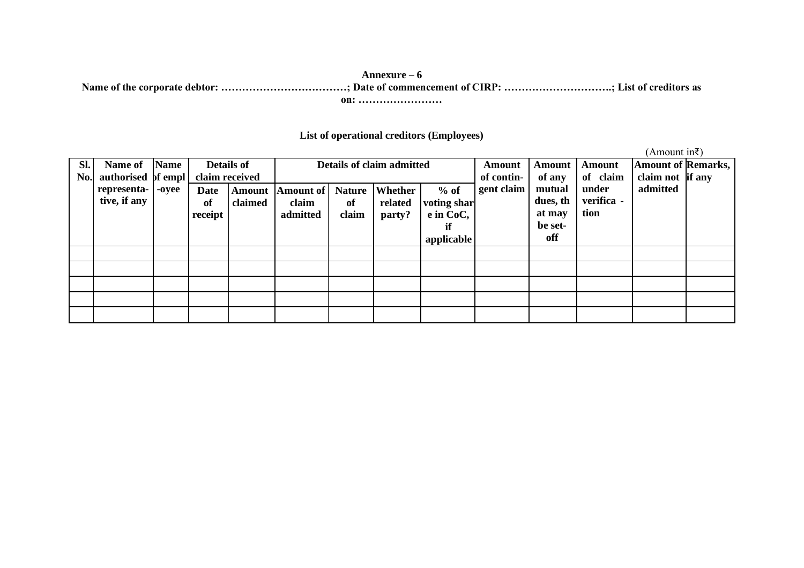### **Annexure – 6 Name of the corporate debtor: ………………………………; Date of commencement of CIRP: ………………………….; List of creditors as on: ……………………**

### **List of operational creditors (Employees)**

(Amount in₹) **Sl. No. authorised of empl Name of representative, if any Name -oyee Details of claim received Details of claim admitted Amount of contingent claim Amount of any mutual dues, th at may be setoff Amount of claim under verifica tion Amount of Remarks, claim not if any admitted Date of receipt Amount claimed Amount of claim admitted Nature of claim Whether related party? % of voting shar e in CoC, if applicable**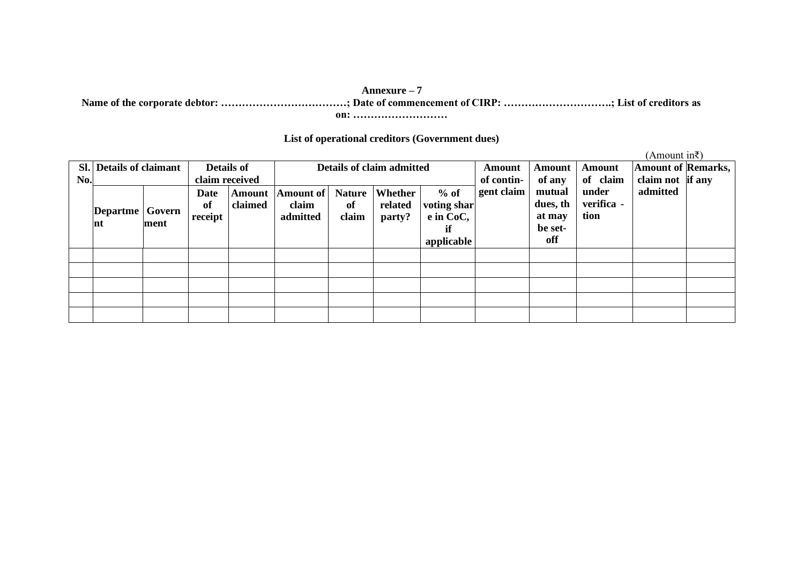## **Annexure – 7**

**Name of the corporate debtor: ………………………………; Date of commencement of CIRP: ………………………….; List of creditors as** 

**on: ………………………**

### **List of operational creditors (Government dues)**

(Amount in₹)

|     | Sl. Details of claimant |                | <b>Details of</b>     |                                                            | Details of claim admitted |                              |                              |                                                        | Amount     | Amount                                         | <b>Amount</b>               | <b>Amount of Remarks,</b> |  |
|-----|-------------------------|----------------|-----------------------|------------------------------------------------------------|---------------------------|------------------------------|------------------------------|--------------------------------------------------------|------------|------------------------------------------------|-----------------------------|---------------------------|--|
| No. |                         |                | claim received        |                                                            |                           |                              |                              |                                                        | of contin- | of any                                         | of claim                    | claim not if any          |  |
|     | Departme<br>Int         | Govern<br>ment | Date<br>of<br>receipt | Amount of<br><b>Amount</b><br>claimed<br>claim<br>admitted |                           | <b>Nature</b><br>of<br>claim | Whether<br>related<br>party? | $%$ of<br>voting shar<br>e in CoC,<br>if<br>applicable | gent claim | mutual<br>dues, th<br>at may<br>be set-<br>off | under<br>verifica -<br>tion | admitted                  |  |
|     |                         |                |                       |                                                            |                           |                              |                              |                                                        |            |                                                |                             |                           |  |
|     |                         |                |                       |                                                            |                           |                              |                              |                                                        |            |                                                |                             |                           |  |
|     |                         |                |                       |                                                            |                           |                              |                              |                                                        |            |                                                |                             |                           |  |
|     |                         |                |                       |                                                            |                           |                              |                              |                                                        |            |                                                |                             |                           |  |
|     |                         |                |                       |                                                            |                           |                              |                              |                                                        |            |                                                |                             |                           |  |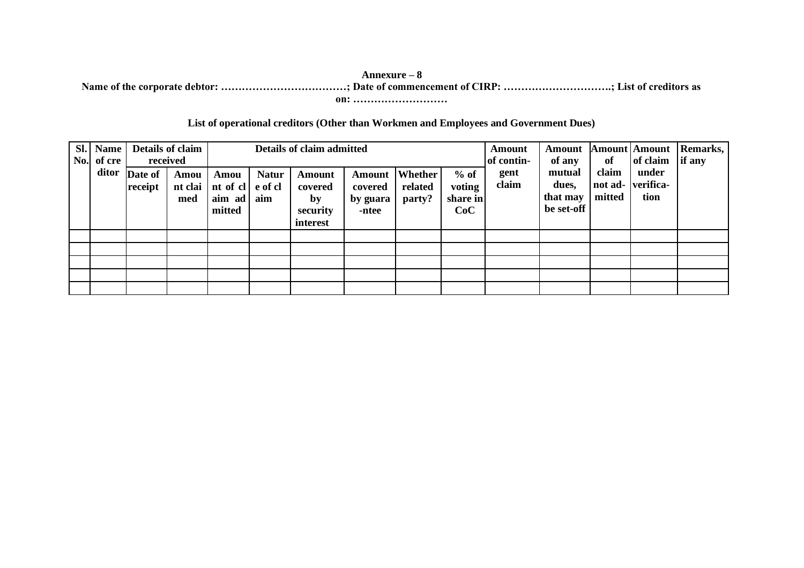#### **Annexure – 8 Name of the corporate debtor: ………………………………; Date of commencement of CIRP: ………………………….; List of creditors as on: ………………………**

### **List of operational creditors (Other than Workmen and Employees and Government Dues)**

| SI. | <b>Name</b><br>No. of cre | received                 | Details of claim       |                                              |                     | Details of claim admitted                       |                                               |                              | Amount<br>of contin-                | <b>Amount</b><br>of any | of                                        | <b>Amount</b> Amount<br>of claim | Remarks,<br>if any                 |  |
|-----|---------------------------|--------------------------|------------------------|----------------------------------------------|---------------------|-------------------------------------------------|-----------------------------------------------|------------------------------|-------------------------------------|-------------------------|-------------------------------------------|----------------------------------|------------------------------------|--|
|     |                           | ditor Date of<br>receipt | Amou<br>nt clai<br>med | Amou<br>nt of cl e of cl<br>aim ad<br>mitted | <b>Natur</b><br>aim | Amount<br>covered<br>by<br>security<br>interest | <b>Amount</b><br>covered<br>by guara<br>-ntee | Whether<br>related<br>party? | $%$ of<br>voting<br>share in<br>CoC | gent<br>claim           | mutual<br>dues,<br>that may<br>be set-off | claim<br>mitted                  | under<br>not ad- verifica-<br>tion |  |
|     |                           |                          |                        |                                              |                     |                                                 |                                               |                              |                                     |                         |                                           |                                  |                                    |  |
|     |                           |                          |                        |                                              |                     |                                                 |                                               |                              |                                     |                         |                                           |                                  |                                    |  |
|     |                           |                          |                        |                                              |                     |                                                 |                                               |                              |                                     |                         |                                           |                                  |                                    |  |
|     |                           |                          |                        |                                              |                     |                                                 |                                               |                              |                                     |                         |                                           |                                  |                                    |  |
|     |                           |                          |                        |                                              |                     |                                                 |                                               |                              |                                     |                         |                                           |                                  |                                    |  |